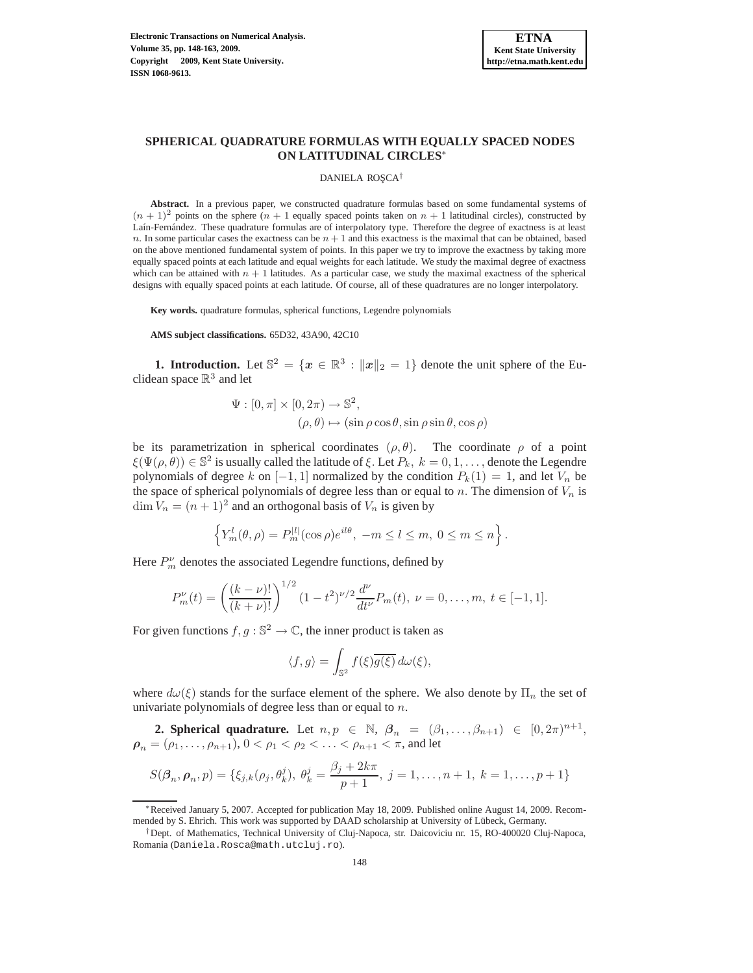

# **SPHERICAL QUADRATURE FORMULAS WITH EQUALLY SPACED NODES ON LATITUDINAL CIRCLES**<sup>∗</sup>

#### DANIELA ROȘCA<sup>†</sup>

Abstract. In a previous paper, we constructed quadrature formulas based on some fundamental systems of  $(n + 1)^2$  points on the sphere  $(n + 1)$  equally spaced points taken on  $n + 1$  latitudinal circles), constructed by Laín-Fernández. These quadrature formulas are of interpolatory type. Therefore the degree of exactness is at least n. In some particular cases the exactness can be  $n + 1$  and this exactness is the maximal that can be obtained, based on the above mentioned fundamental system of points. In this paper we try to improve the exactness by taking more equally spaced points at each latitude and equal weights for each latitude. We study the maximal degree of exactness which can be attained with  $n + 1$  latitudes. As a particular case, we study the maximal exactness of the spherical designs with equally spaced points at each latitude. Of course, all of these quadratures are no longer interpolatory.

**Key words.** quadrature formulas, spherical functions, Legendre polynomials

**AMS subject classifications.** 65D32, 43A90, 42C10

**1. Introduction.** Let  $\mathbb{S}^2 = \{x \in \mathbb{R}^3 : ||x||_2 = 1\}$  denote the unit sphere of the Euclidean space  $\mathbb{R}^3$  and let

$$
\Psi : [0, \pi] \times [0, 2\pi) \to \mathbb{S}^2,
$$
  

$$
(\rho, \theta) \mapsto (\sin \rho \cos \theta, \sin \rho \sin \theta, \cos \rho)
$$

be its parametrization in spherical coordinates  $(\rho, \theta)$ . The coordinate  $\rho$  of a point  $\xi(\Psi(\rho,\theta)) \in \mathbb{S}^2$  is usually called the latitude of  $\xi$ . Let  $P_k$ ,  $k = 0, 1, \ldots$ , denote the Legendre polynomials of degree k on  $[-1, 1]$  normalized by the condition  $P_k(1) = 1$ , and let  $V_n$  be the space of spherical polynomials of degree less than or equal to n. The dimension of  $V_n$  is  $\dim V_n = (n+1)^2$  and an orthogonal basis of  $V_n$  is given by

$$
\left\{ Y_m^l(\theta,\rho) = P_m^{|l|}(\cos \rho)e^{il\theta}, -m \le l \le m, 0 \le m \le n \right\}.
$$

Here  $P_m^{\nu}$  denotes the associated Legendre functions, defined by

$$
P_m^{\nu}(t) = \left(\frac{(k-\nu)!}{(k+\nu)!}\right)^{1/2} (1-t^2)^{\nu/2} \frac{d^{\nu}}{dt^{\nu}} P_m(t), \ \nu = 0, \dots, m, \ t \in [-1,1].
$$

For given functions  $f, g : \mathbb{S}^2 \to \mathbb{C}$ , the inner product is taken as

$$
\langle f, g \rangle = \int_{\mathbb{S}^2} f(\xi) \overline{g(\xi)} \, d\omega(\xi),
$$

where  $d\omega(\xi)$  stands for the surface element of the sphere. We also denote by  $\Pi_n$  the set of univariate polynomials of degree less than or equal to  $n$ .

**2. Spherical quadrature.** Let  $n, p \in \mathbb{N}$ ,  $\beta_n = (\beta_1, \ldots, \beta_{n+1}) \in [0, 2\pi)^{n+1}$ ,  $\rho_n = (\rho_1, \ldots, \rho_{n+1}), 0 < \rho_1 < \rho_2 < \ldots < \rho_{n+1} < \pi$ , and let

$$
S(\beta_n, \rho_n, p) = \{\xi_{j,k}(\rho_j, \theta_k^j), \ \theta_k^j = \frac{\beta_j + 2k\pi}{p+1}, \ j = 1, \dots, n+1, \ k = 1, \dots, p+1\}
$$

<sup>∗</sup>Received January 5, 2007. Accepted for publication May 18, 2009. Published online August 14, 2009. Recommended by S. Ehrich. This work was supported by DAAD scholarship at University of Lübeck, Germany.

<sup>†</sup>Dept. of Mathematics, Technical University of Cluj-Napoca, str. Daicoviciu nr. 15, RO-400020 Cluj-Napoca, Romania (Daniela.Rosca@math.utcluj.ro).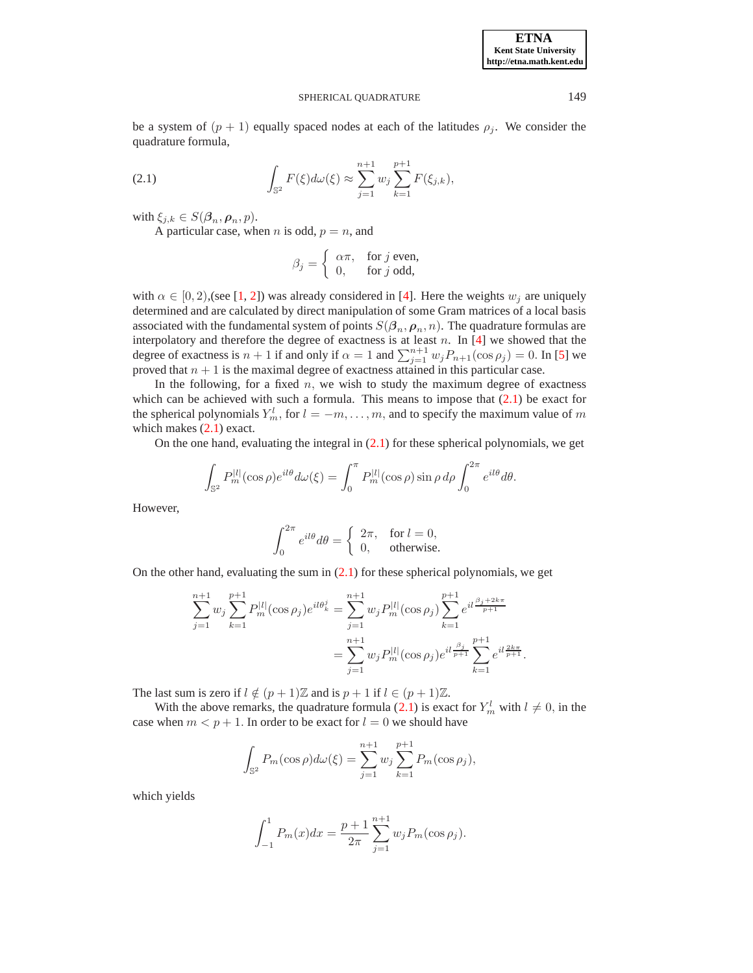## SPHERICAL OUADRATURE 149

be a system of  $(p + 1)$  equally spaced nodes at each of the latitudes  $\rho_j$ . We consider the quadrature formula,

<span id="page-1-0"></span>(2.1) 
$$
\int_{\mathbb{S}^2} F(\xi) d\omega(\xi) \approx \sum_{j=1}^{n+1} w_j \sum_{k=1}^{p+1} F(\xi_{j,k}),
$$

with  $\xi_{j,k} \in S(\boldsymbol{\beta}_n, \boldsymbol{\rho}_n, p)$ .

A particular case, when *n* is odd,  $p = n$ , and

$$
\beta_j = \begin{cases} \alpha \pi, & \text{for } j \text{ even,} \\ 0, & \text{for } j \text{ odd,} \end{cases}
$$

with  $\alpha \in [0, 2)$ , (see [\[1,](#page-15-0) [2\]](#page-15-1)) was already considered in [\[4\]](#page-15-2). Here the weights  $w_j$  are uniquely determined and are calculated by direct manipulation of some Gram matrices of a local basis associated with the fundamental system of points  $S(\beta_n, \rho_n, n)$ . The quadrature formulas are interpolatory and therefore the degree of exactness is at least  $n$ . In [\[4\]](#page-15-2) we showed that the degree of exactness is  $n + 1$  if and only if  $\alpha = 1$  and  $\sum_{j=1}^{n+1} w_j P_{n+1}(\cos \rho_j) = 0$ . In [\[5\]](#page-15-3) we proved that  $n + 1$  is the maximal degree of exactness attained in this particular case.

In the following, for a fixed  $n$ , we wish to study the maximum degree of exactness which can be achieved with such a formula. This means to impose that  $(2.1)$  be exact for the spherical polynomials  $Y_m^l$ , for  $l = -m, \ldots, m$ , and to specify the maximum value of m which makes  $(2.1)$  exact.

On the one hand, evaluating the integral in  $(2.1)$  for these spherical polynomials, we get

$$
\int_{\mathbb{S}^2} P_m^{|l|}(\cos \rho) e^{il\theta} d\omega(\xi) = \int_0^\pi P_m^{|l|}(\cos \rho) \sin \rho \, d\rho \int_0^{2\pi} e^{il\theta} d\theta.
$$

However,

$$
\int_0^{2\pi} e^{il\theta} d\theta = \begin{cases} 2\pi, & \text{for } l = 0, \\ 0, & \text{otherwise.} \end{cases}
$$

On the other hand, evaluating the sum in  $(2.1)$  for these spherical polynomials, we get

$$
\sum_{j=1}^{n+1} w_j \sum_{k=1}^{p+1} P_m^{|l|}(\cos \rho_j) e^{il\theta_k^j} = \sum_{j=1}^{n+1} w_j P_m^{|l|}(\cos \rho_j) \sum_{k=1}^{p+1} e^{il\frac{\beta_j + 2k\pi}{p+1}} \n= \sum_{j=1}^{n+1} w_j P_m^{|l|}(\cos \rho_j) e^{il\frac{\beta_j}{p+1}} \sum_{k=1}^{p+1} e^{il\frac{2k\pi}{p+1}}.
$$

The last sum is zero if  $l \notin (p+1)\mathbb{Z}$  and is  $p+1$  if  $l \in (p+1)\mathbb{Z}$ .

With the above remarks, the quadrature formula [\(2.1\)](#page-1-0) is exact for  $Y_m^l$  with  $l \neq 0$ , in the case when  $m < p + 1$ . In order to be exact for  $l = 0$  we should have

$$
\int_{\mathbb{S}^2} P_m(\cos \rho) d\omega(\xi) = \sum_{j=1}^{n+1} w_j \sum_{k=1}^{p+1} P_m(\cos \rho_j),
$$

which yields

$$
\int_{-1}^{1} P_m(x) dx = \frac{p+1}{2\pi} \sum_{j=1}^{n+1} w_j P_m(\cos \rho_j).
$$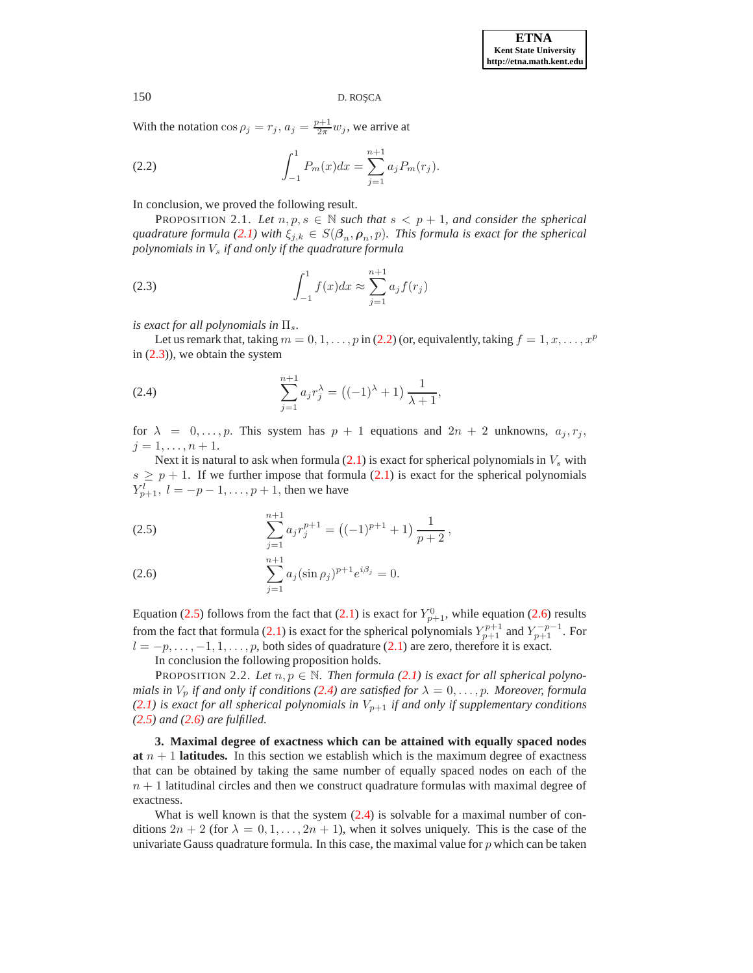With the notation  $\cos \rho_j = r_j$ ,  $a_j = \frac{p+1}{2\pi} w_j$ , we arrive at

<span id="page-2-0"></span>(2.2) 
$$
\int_{-1}^{1} P_m(x) dx = \sum_{j=1}^{n+1} a_j P_m(r_j).
$$

In conclusion, we proved the following result.

PROPOSITION 2.1. Let  $n, p, s \in \mathbb{N}$  such that  $s < p + 1$ , and consider the spherical  $quadratic formula (2.1)$  $quadratic formula (2.1)$  with  $\xi_{j,k} \in S(\beta_n, \rho_n, p)$ . This formula is exact for the spherical *polynomials in*  $V_s$  *if and only if the quadrature formula* 

<span id="page-2-1"></span>(2.3) 
$$
\int_{-1}^{1} f(x)dx \approx \sum_{j=1}^{n+1} a_j f(r_j)
$$

*is exact for all polynomials in*  $\Pi_s$ .

Let us remark that, taking  $m = 0, 1, \ldots, p$  in [\(2.2\)](#page-2-0) (or, equivalently, taking  $f = 1, x, \ldots, x^p$ in  $(2.3)$ , we obtain the system

<span id="page-2-3"></span>(2.4) 
$$
\sum_{j=1}^{n+1} a_j r_j^{\lambda} = ((-1)^{\lambda} + 1) \frac{1}{\lambda + 1},
$$

for  $\lambda = 0, \ldots, p$ . This system has  $p + 1$  equations and  $2n + 2$  unknowns,  $a_j, r_j$ ,  $j = 1, \ldots, n + 1.$ 

Next it is natural to ask when formula  $(2.1)$  is exact for spherical polynomials in  $V_s$  with  $s \geq p + 1$ . If we further impose that formula [\(2.1\)](#page-1-0) is exact for the spherical polynomials  $Y_{p+1}^l, l = -p-1, \ldots, p+1$ , then we have

<span id="page-2-2"></span>(2.5) 
$$
\sum_{j=1}^{n+1} a_j r_j^{p+1} = \left( (-1)^{p+1} + 1 \right) \frac{1}{p+2},
$$

(2.6) 
$$
\sum_{j=1}^{n+1} a_j (\sin \rho_j)^{p+1} e^{i\beta_j} = 0.
$$

Equation [\(2.5\)](#page-2-2) follows from the fact that [\(2.1\)](#page-1-0) is exact for  $Y_{p+1}^0$ , while equation [\(2.6\)](#page-2-2) results from the fact that formula [\(2.1\)](#page-1-0) is exact for the spherical polynomials  $Y_{p+1}^{p+1}$  and  $Y_{p+1}^{-p-1}$ . For  $l = -p, \ldots, -1, 1, \ldots, p$ , both sides of quadrature [\(2.1\)](#page-1-0) are zero, therefore it is exact.

<span id="page-2-4"></span>In conclusion the following proposition holds.

PROPOSITION 2.2. Let  $n, p \in \mathbb{N}$ . Then formula [\(2.1\)](#page-1-0) is exact for all spherical polyno*mials in*  $V_p$  *if and only if conditions [\(2.4\)](#page-2-3) are satisfied for*  $\lambda = 0, \ldots, p$ *. Moreover, formula*  $(2.1)$  *is exact for all spherical polynomials in*  $V_{p+1}$  *if and only if supplementary conditions [\(2.5\)](#page-2-2) and [\(2.6\)](#page-2-2) are fulfilled.*

**3. Maximal degree of exactness which can be attained with equally spaced nodes at**  $n + 1$  **latitudes.** In this section we establish which is the maximum degree of exactness that can be obtained by taking the same number of equally spaced nodes on each of the  $n + 1$  latitudinal circles and then we construct quadrature formulas with maximal degree of exactness.

What is well known is that the system  $(2.4)$  is solvable for a maximal number of conditions  $2n + 2$  (for  $\lambda = 0, 1, \ldots, 2n + 1$ ), when it solves uniquely. This is the case of the univariate Gauss quadrature formula. In this case, the maximal value for  $p$  which can be taken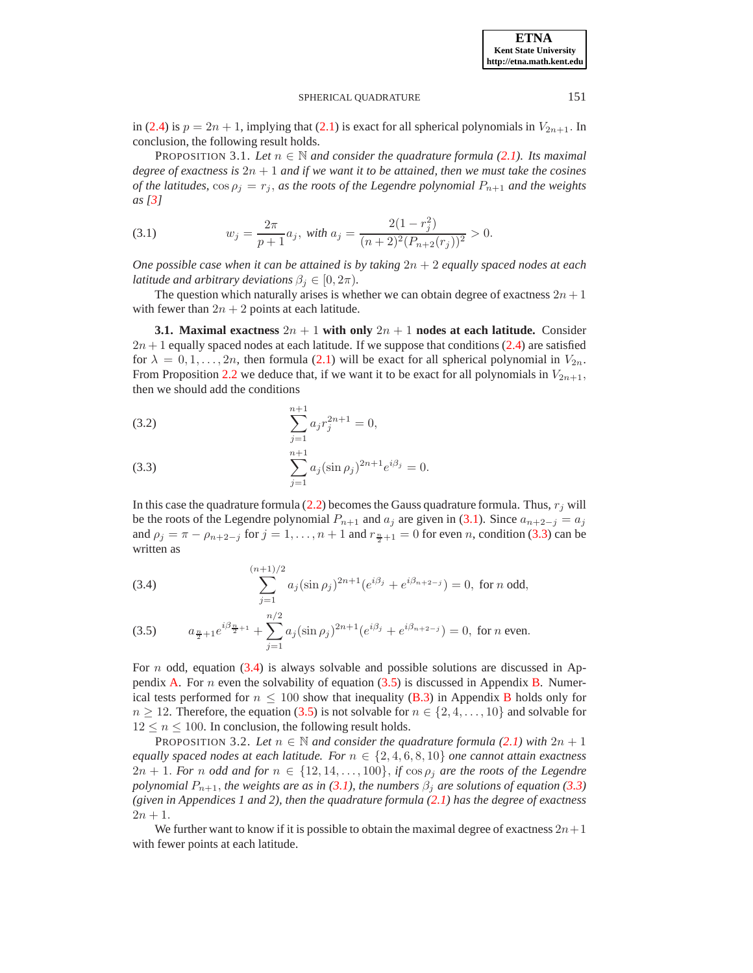**ETNA Kent State University http://etna.math.kent.edu**

# <span id="page-3-3"></span>SPHERICAL OUADRATURE 151

in [\(2.4\)](#page-2-3) is  $p = 2n + 1$ , implying that [\(2.1\)](#page-1-0) is exact for all spherical polynomials in  $V_{2n+1}$ . In conclusion, the following result holds.

PROPOSITION 3.1. Let  $n \in \mathbb{N}$  and consider the quadrature formula [\(2.1\)](#page-1-0). Its maximal *degree of exactness is* 2n + 1 *and if we want it to be attained, then we must take the cosines of the latitudes,*  $\cos \rho_j = r_j$ *, as the roots of the Legendre polynomial*  $P_{n+1}$  *and the weights as [\[3\]](#page-15-4)*

<span id="page-3-0"></span>(3.1) 
$$
w_j = \frac{2\pi}{p+1} a_j, \text{ with } a_j = \frac{2(1-r_j^2)}{(n+2)^2 (P_{n+2}(r_j))^2} > 0.
$$

*One possible case when it can be attained is by taking* 2n + 2 *equally spaced nodes at each latitude and arbitrary deviations*  $\beta_i \in [0, 2\pi)$ *.* 

The question which naturally arises is whether we can obtain degree of exactness  $2n + 1$ with fewer than  $2n + 2$  points at each latitude.

<span id="page-3-4"></span>**3.1. Maximal exactness**  $2n + 1$  with only  $2n + 1$  nodes at each latitude. Consider  $2n + 1$  equally spaced nodes at each latitude. If we suppose that conditions [\(2.4\)](#page-2-3) are satisfied for  $\lambda = 0, 1, \ldots, 2n$ , then formula [\(2.1\)](#page-1-0) will be exact for all spherical polynomial in  $V_{2n}$ . From Proposition [2.2](#page-2-4) we deduce that, if we want it to be exact for all polynomials in  $V_{2n+1}$ , then we should add the conditions

<span id="page-3-1"></span>(3.2) 
$$
\sum_{j=1}^{n+1} a_j r_j^{2n+1} = 0,
$$

(3.3) 
$$
\sum_{j=1}^{n+1} a_j (\sin \rho_j)^{2n+1} e^{i\beta_j} = 0.
$$

In this case the quadrature formula [\(2.2\)](#page-2-0) becomes the Gauss quadrature formula. Thus,  $r_j$  will be the roots of the Legendre polynomial  $P_{n+1}$  and  $a_j$  are given in [\(3.1\)](#page-3-0). Since  $a_{n+2-j} = a_j$ and  $\rho_j = \pi - \rho_{n+2-j}$  for  $j = 1, ..., n+1$  and  $r_{\frac{n}{2}+1} = 0$  for even n, condition [\(3.3\)](#page-3-1) can be written as

<span id="page-3-2"></span>(3.4) 
$$
\sum_{j=1}^{(n+1)/2} a_j (\sin \rho_j)^{2n+1} (e^{i\beta_j} + e^{i\beta_{n+2-j}}) = 0, \text{ for } n \text{ odd,}
$$

(3.5) 
$$
a_{\frac{n}{2}+1}e^{i\beta_{\frac{n}{2}+1}} + \sum_{j=1}^{n/2} a_j(\sin \rho_j)^{2n+1}(e^{i\beta_j} + e^{i\beta_{n+2-j}}) = 0, \text{ for } n \text{ even.}
$$

For n odd, equation  $(3.4)$  is always solvable and possible solutions are discussed in Ap-pendix [A.](#page-10-0) For *n* even the solvability of equation  $(3.5)$  is discussed in Appendix [B.](#page-12-0) Numerical tests performed for  $n \leq 100$  show that inequality [\(B.3\)](#page-12-1) in Appendix [B](#page-12-0) holds only for  $n \geq 12$ . Therefore, the equation [\(3.5\)](#page-3-2) is not solvable for  $n \in \{2, 4, ..., 10\}$  and solvable for  $12 \le n \le 100$ . In conclusion, the following result holds.

**PROPOSITION 3.2.** *Let*  $n \in \mathbb{N}$  *and consider the quadrature formula* [\(2.1\)](#page-1-0) *with*  $2n + 1$ *equally spaced nodes at each latitude. For*  $n \in \{2, 4, 6, 8, 10\}$  *one cannot attain exactness*  $2n + 1$ . *For* n *odd and for*  $n \in \{12, 14, \ldots, 100\}$ , *if*  $\cos \rho_j$  *are the roots of the Legendre polynomial*  $P_{n+1}$ *, the weights are as in* [\(3.1\)](#page-3-0)*, the numbers*  $\beta_i$  *are solutions of equation* [\(3.3\)](#page-3-1) *(given in Appendices 1 and 2), then the quadrature formula [\(2.1\)](#page-1-0) has the degree of exactness*  $2n + 1$ .

We further want to know if it is possible to obtain the maximal degree of exactness  $2n+1$ with fewer points at each latitude.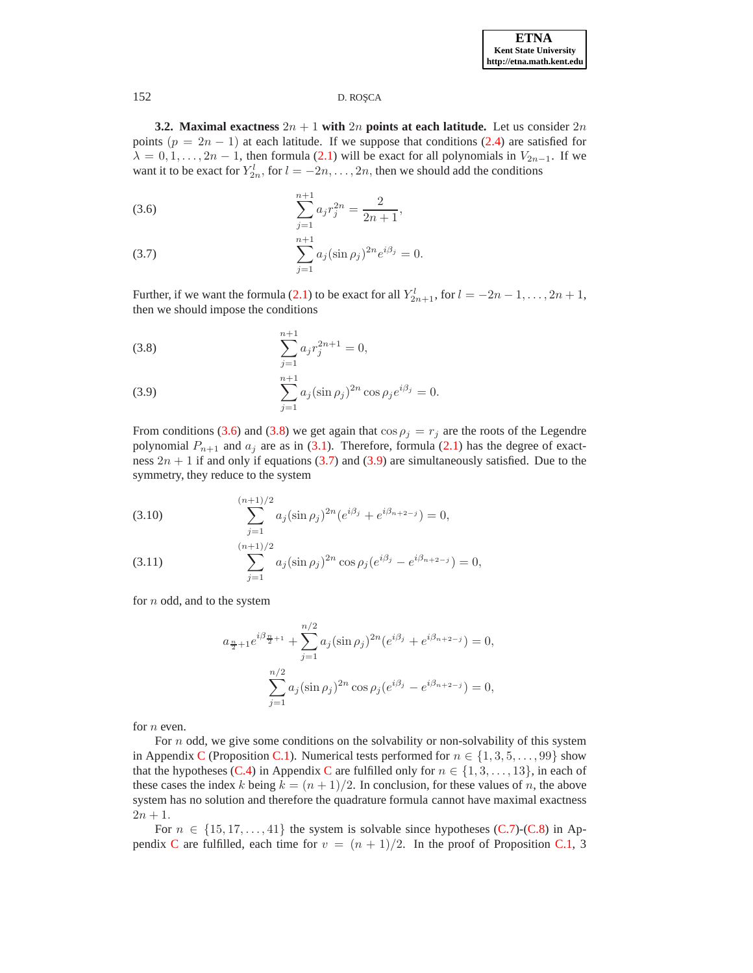**3.2. Maximal exactness**  $2n + 1$  with  $2n$  points at each latitude. Let us consider  $2n$ points  $(p = 2n - 1)$  at each latitude. If we suppose that conditions [\(2.4\)](#page-2-3) are satisfied for  $\lambda = 0, 1, \ldots, 2n - 1$ , then formula [\(2.1\)](#page-1-0) will be exact for all polynomials in  $V_{2n-1}$ . If we want it to be exact for  $Y_{2n}^l$ , for  $l = -2n, \ldots, 2n$ , then we should add the conditions

<span id="page-4-0"></span>(3.6) 
$$
\sum_{j=1}^{n+1} a_j r_j^{2n} = \frac{2}{2n+1},
$$

(3.7) 
$$
\sum_{j=1}^{n+1} a_j (\sin \rho_j)^{2n} e^{i\beta_j} = 0.
$$

Further, if we want the formula [\(2.1\)](#page-1-0) to be exact for all  $Y_{2n+1}^l$ , for  $l = -2n - 1, ..., 2n + 1$ , then we should impose the conditions

<span id="page-4-1"></span>(3.8) 
$$
\sum_{j=1}^{n+1} a_j r_j^{2n+1} = 0,
$$

(3.9) 
$$
\sum_{j=1}^{n+1} a_j (\sin \rho_j)^{2n} \cos \rho_j e^{i\beta_j} = 0.
$$

From conditions [\(3.6\)](#page-4-0) and [\(3.8\)](#page-4-1) we get again that  $\cos \rho_j = r_j$  are the roots of the Legendre polynomial  $P_{n+1}$  and  $a_j$  are as in [\(3.1\)](#page-3-0). Therefore, formula [\(2.1\)](#page-1-0) has the degree of exactness  $2n + 1$  if and only if equations [\(3.7\)](#page-4-0) and [\(3.9\)](#page-4-1) are simultaneously satisfied. Due to the symmetry, they reduce to the system

<span id="page-4-2"></span>(3.10) 
$$
\sum_{j=1}^{(n+1)/2} a_j (\sin \rho_j)^{2n} (e^{i\beta_j} + e^{i\beta_{n+2-j}}) = 0,
$$

(3.11) 
$$
\sum_{j=1}^{(n+1)/2} a_j (\sin \rho_j)^{2n} \cos \rho_j (e^{i\beta_j} - e^{i\beta_{n+2-j}}) = 0,
$$

for  $n$  odd, and to the system

$$
a_{\frac{n}{2}+1}e^{i\beta_{\frac{n}{2}+1}} + \sum_{j=1}^{n/2} a_j (\sin \rho_j)^{2n} (e^{i\beta_j} + e^{i\beta_{n+2-j}}) = 0,
$$
  

$$
\sum_{j=1}^{n/2} a_j (\sin \rho_j)^{2n} \cos \rho_j (e^{i\beta_j} - e^{i\beta_{n+2-j}}) = 0,
$$

for  $n$  even.

For  $n$  odd, we give some conditions on the solvability or non-solvability of this system in Appendix [C](#page-13-0) (Proposition [C.1\)](#page-13-1). Numerical tests performed for  $n \in \{1, 3, 5, \ldots, 99\}$  show that the hypotheses [\(C.4\)](#page-13-2) in Appendix [C](#page-13-0) are fulfilled only for  $n \in \{1, 3, \ldots, 13\}$ , in each of these cases the index k being  $k = (n + 1)/2$ . In conclusion, for these values of n, the above system has no solution and therefore the quadrature formula cannot have maximal exactness  $2n + 1$ .

For  $n \in \{15, 17, \ldots, 41\}$  the system is solvable since hypotheses [\(C.7\)](#page-13-3)-[\(C.8\)](#page-13-3) in Ap-pendix [C](#page-13-0) are fulfilled, each time for  $v = (n + 1)/2$ . In the proof of Proposition [C.1,](#page-13-1) 3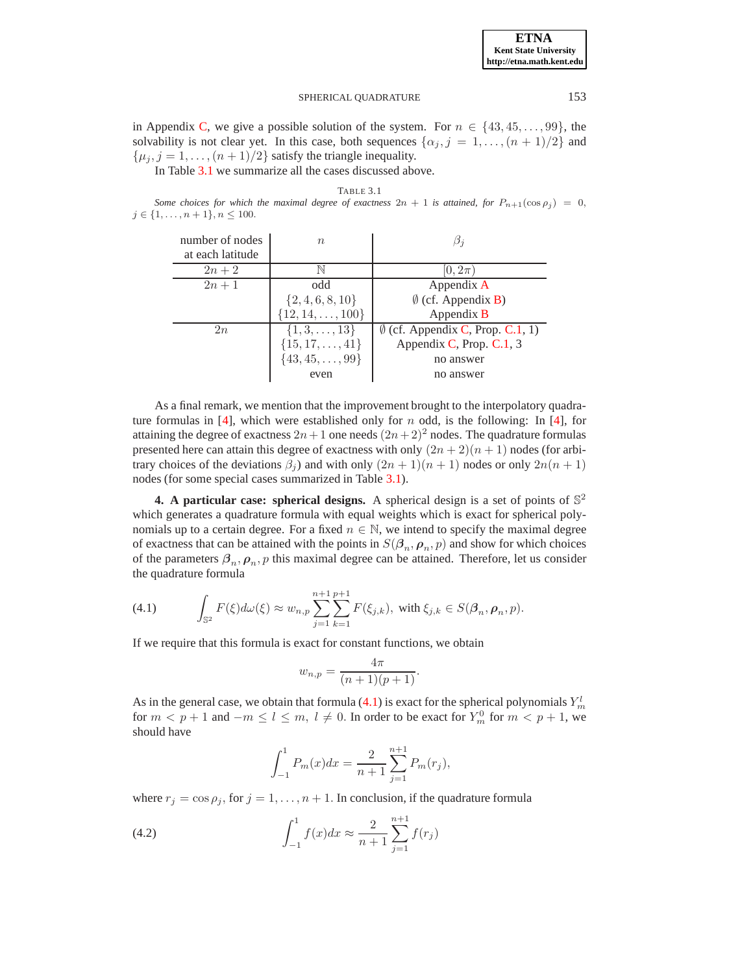# SPHERICAL QUADRATURE 153

in Appendix [C,](#page-13-0) we give a possible solution of the system. For  $n \in \{43, 45, \ldots, 99\}$ , the solvability is not clear yet. In this case, both sequences  $\{\alpha_j, j = 1, \ldots, (n+1)/2\}$  and  $\{\mu_i, j = 1, \ldots, (n+1)/2\}$  satisfy the triangle inequality.

In Table [3.1](#page-8-0) we summarize all the cases discussed above.

*Some choices for which the maximal degree of exactness*  $2n + 1$  *is attained, for*  $P_{n+1}(\cos \rho_j) = 0$ ,  $j \in \{1, \ldots, n+1\}, n \leq 100.$ 

| number of nodes<br>at each latitude | $n_{\rm c}$               |                                            |
|-------------------------------------|---------------------------|--------------------------------------------|
| $2n+2$                              |                           | $0,2\pi$                                   |
| $2n+1$                              | odd                       | Appendix A                                 |
|                                     | $\{2, 4, 6, 8, 10\}$      | $\emptyset$ (cf. Appendix <b>B</b> )       |
|                                     | $\{12, 14, \ldots, 100\}$ | Appendix B                                 |
| 2n                                  | $\{1, 3, \ldots, 13\}$    | $\emptyset$ (cf. Appendix C, Prop. C.1, 1) |
|                                     | $\{15, 17, \ldots, 41\}$  | Appendix C, Prop. C.1, 3                   |
|                                     | $\{43, 45, \ldots, 99\}$  | no answer                                  |
|                                     | even                      | no answer                                  |

As a final remark, we mention that the improvement brought to the interpolatory quadra-ture formulas in [\[4\]](#page-15-2), which were established only for n odd, is the following: In [\[4\]](#page-15-2), for attaining the degree of exactness  $2n+1$  one needs  $(2n+2)^2$  nodes. The quadrature formulas presented here can attain this degree of exactness with only  $(2n + 2)(n + 1)$  nodes (for arbitrary choices of the deviations  $\beta_i$ ) and with only  $(2n + 1)(n + 1)$  nodes or only  $2n(n + 1)$ nodes (for some special cases summarized in Table [3.1\)](#page-8-0).

**4.** A particular case: spherical designs. A spherical design is a set of points of  $\mathbb{S}^2$ which generates a quadrature formula with equal weights which is exact for spherical polynomials up to a certain degree. For a fixed  $n \in \mathbb{N}$ , we intend to specify the maximal degree of exactness that can be attained with the points in  $S(\beta_n, \rho_n, p)$  and show for which choices of the parameters  $\beta_n$ ,  $\rho_n$ , p this maximal degree can be attained. Therefore, let us consider the quadrature formula

<span id="page-5-0"></span>(4.1) 
$$
\int_{\mathbb{S}^2} F(\xi) d\omega(\xi) \approx w_{n,p} \sum_{j=1}^{n+1} \sum_{k=1}^{p+1} F(\xi_{j,k}), \text{ with } \xi_{j,k} \in S(\beta_n, \rho_n, p).
$$

If we require that this formula is exact for constant functions, we obtain

$$
w_{n,p} = \frac{4\pi}{(n+1)(p+1)}.
$$

As in the general case, we obtain that formula [\(4.1\)](#page-5-0) is exact for the spherical polynomials  $Y_m^l$ for  $m < p + 1$  and  $-m \leq l \leq m$ ,  $l \neq 0$ . In order to be exact for  $Y_m^0$  for  $m < p + 1$ , we should have

$$
\int_{-1}^{1} P_m(x)dx = \frac{2}{n+1} \sum_{j=1}^{n+1} P_m(r_j),
$$

where  $r_j = \cos \rho_j$ , for  $j = 1, ..., n + 1$ . In conclusion, if the quadrature formula

<span id="page-5-1"></span>(4.2) 
$$
\int_{-1}^{1} f(x)dx \approx \frac{2}{n+1} \sum_{j=1}^{n+1} f(r_j)
$$

TABLE 3.1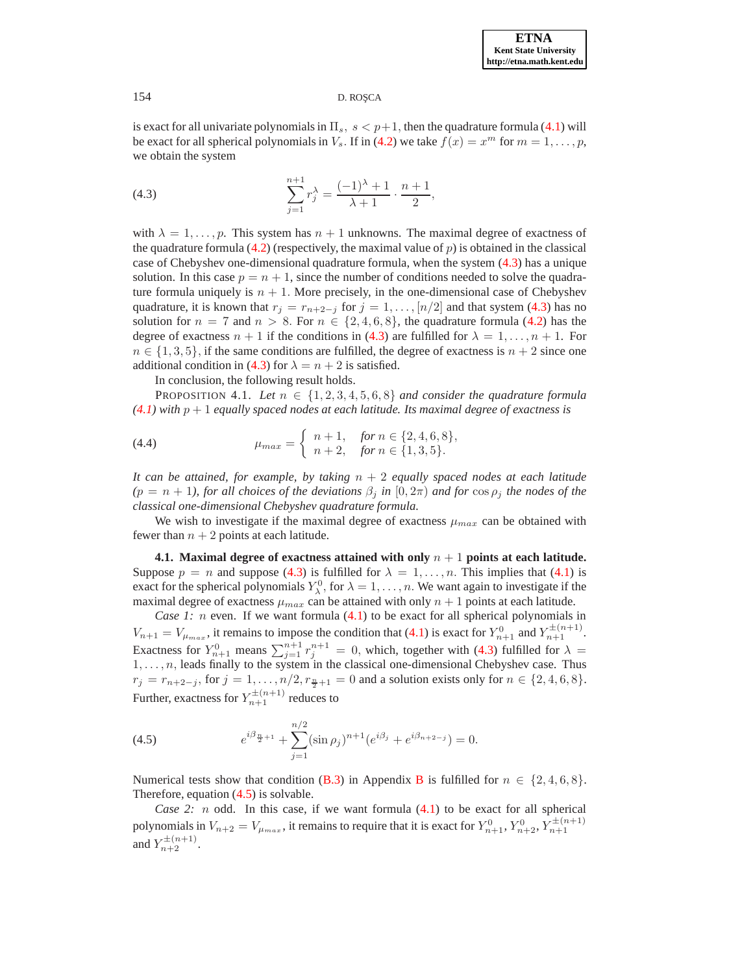is exact for all univariate polynomials in  $\Pi_s$ ,  $s < p+1$ , then the quadrature formula [\(4.1\)](#page-5-0) will be exact for all spherical polynomials in  $V_s$ . If in [\(4.2\)](#page-5-1) we take  $f(x) = x^m$  for  $m = 1, \ldots, p$ , we obtain the system

<span id="page-6-0"></span>(4.3) 
$$
\sum_{j=1}^{n+1} r_j^{\lambda} = \frac{(-1)^{\lambda} + 1}{\lambda + 1} \cdot \frac{n+1}{2},
$$

with  $\lambda = 1, \ldots, p$ . This system has  $n + 1$  unknowns. The maximal degree of exactness of the quadrature formula  $(4.2)$  (respectively, the maximal value of  $p$ ) is obtained in the classical case of Chebyshev one-dimensional quadrature formula, when the system [\(4.3\)](#page-6-0) has a unique solution. In this case  $p = n + 1$ , since the number of conditions needed to solve the quadrature formula uniquely is  $n + 1$ . More precisely, in the one-dimensional case of Chebyshev quadrature, it is known that  $r_j = r_{n+2-j}$  for  $j = 1, \ldots, \lfloor n/2 \rfloor$  and that system [\(4.3\)](#page-6-0) has no solution for  $n = 7$  and  $n > 8$ . For  $n \in \{2, 4, 6, 8\}$ , the quadrature formula [\(4.2\)](#page-5-1) has the degree of exactness  $n + 1$  if the conditions in [\(4.3\)](#page-6-0) are fulfilled for  $\lambda = 1, \ldots, n + 1$ . For  $n \in \{1, 3, 5\}$ , if the same conditions are fulfilled, the degree of exactness is  $n + 2$  since one additional condition in [\(4.3\)](#page-6-0) for  $\lambda = n + 2$  is satisfied.

In conclusion, the following result holds.

<span id="page-6-2"></span>PROPOSITION 4.1. Let  $n \in \{1, 2, 3, 4, 5, 6, 8\}$  and consider the quadrature formula  $(4.1)$  with  $p + 1$  *equally spaced nodes at each latitude. Its maximal degree of exactness is* 

(4.4) 
$$
\mu_{max} = \begin{cases} n+1, & \text{for } n \in \{2, 4, 6, 8\}, \\ n+2, & \text{for } n \in \{1, 3, 5\}. \end{cases}
$$

*It can be attained, for example, by taking* n + 2 *equally spaced nodes at each latitude*  $(p = n + 1)$ , for all choices of the deviations  $\beta_i$  in  $[0, 2\pi)$  and for  $\cos \rho_i$  the nodes of the *classical one-dimensional Chebyshev quadrature formula.*

We wish to investigate if the maximal degree of exactness  $\mu_{max}$  can be obtained with fewer than  $n + 2$  points at each latitude.

**4.1. Maximal degree of exactness attained with only** n + 1 **points at each latitude.** Suppose  $p = n$  and suppose [\(4.3\)](#page-6-0) is fulfilled for  $\lambda = 1, \ldots, n$ . This implies that [\(4.1\)](#page-5-0) is exact for the spherical polynomials  $Y_{\lambda}^0$ , for  $\lambda = 1, \ldots, n$ . We want again to investigate if the maximal degree of exactness  $\mu_{max}$  can be attained with only  $n + 1$  points at each latitude.

*Case 1: n* even. If we want formula [\(4.1\)](#page-5-0) to be exact for all spherical polynomials in  $V_{n+1} = V_{\mu_{max}}$ , it remains to impose the condition that [\(4.1\)](#page-5-0) is exact for  $Y_{n+1}^0$  and  $Y_{n+1}^{\pm(n+1)}$ . Exactness for  $Y_{n+1}^0$  means  $\sum_{j=1}^{n+1} r_j^{n+1} = 0$ , which, together with [\(4.3\)](#page-6-0) fulfilled for  $\lambda =$  $1, \ldots, n$ , leads finally to the system in the classical one-dimensional Chebyshev case. Thus  $r_j = r_{n+2-j}$ , for  $j = 1, ..., n/2, r_{\frac{n}{2}+1} = 0$  and a solution exists only for  $n \in \{2, 4, 6, 8\}$ . Further, exactness for  $Y_{n+1}^{\pm(n+1)}$  reduces to

<span id="page-6-1"></span>(4.5) 
$$
e^{i\beta_{\frac{n}{2}+1}} + \sum_{j=1}^{n/2} (\sin \rho_j)^{n+1} (e^{i\beta_j} + e^{i\beta_{n+2-j}}) = 0.
$$

Numerical tests show that condition [\(B.3\)](#page-12-1) in Appendix [B](#page-12-0) is fulfilled for  $n \in \{2, 4, 6, 8\}$ . Therefore, equation [\(4.5\)](#page-6-1) is solvable.

*Case 2:*  $n$  odd. In this case, if we want formula  $(4.1)$  to be exact for all spherical polynomials in  $V_{n+2} = V_{\mu_{max}}$ , it remains to require that it is exact for  $Y_{n+1}^0, Y_{n+2}^0, Y_{n+1}^{\pm (n+1)}$ and  $Y_{n+2}^{\pm (n+1)}$ .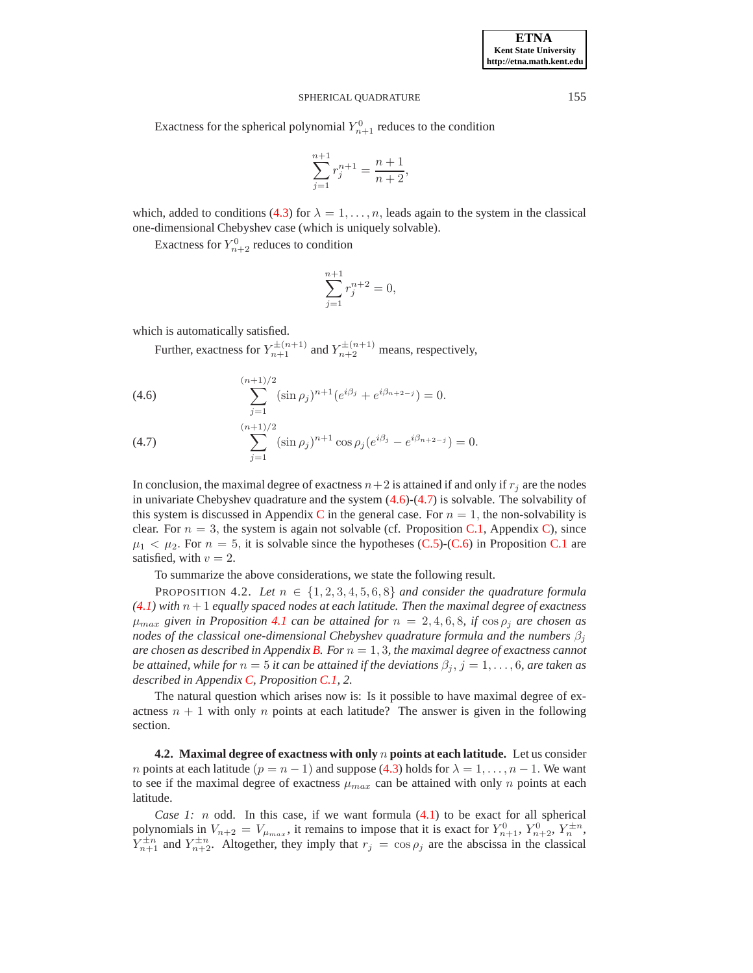## SPHERICAL QUADRATURE 155

Exactness for the spherical polynomial  $Y_{n+1}^0$  reduces to the condition

$$
\sum_{j=1}^{n+1} r_j^{n+1} = \frac{n+1}{n+2},
$$

which, added to conditions [\(4.3\)](#page-6-0) for  $\lambda = 1, \ldots, n$ , leads again to the system in the classical one-dimensional Chebyshev case (which is uniquely solvable).

Exactness for  $Y_{n+2}^0$  reduces to condition

$$
\sum_{j=1}^{n+1} r_j^{n+2} = 0,
$$

which is automatically satisfied.

Further, exactness for  $Y_{n+1}^{\pm(n+1)}$  and  $Y_{n+2}^{\pm(n+1)}$  means, respectively,

<span id="page-7-0"></span>(4.6) 
$$
\sum_{j=1}^{(n+1)/2} (\sin \rho_j)^{n+1} (e^{i\beta_j} + e^{i\beta_{n+2-j}}) = 0.
$$

(4.7) 
$$
\sum_{j=1}^{(n+1)/2} (\sin \rho_j)^{n+1} \cos \rho_j (e^{i\beta_j} - e^{i\beta_{n+2-j}}) = 0.
$$

In conclusion, the maximal degree of exactness  $n+2$  is attained if and only if  $r_i$  are the nodes in univariate Chebyshev quadrature and the system  $(4.6)-(4.7)$  $(4.6)-(4.7)$  is solvable. The solvability of this system is discussed in Appendix [C](#page-13-0) in the general case. For  $n = 1$ , the non-solvability is clear. For  $n = 3$ , the system is again not solvable (cf. Proposition [C.1,](#page-13-1) Appendix [C\)](#page-13-0), since  $\mu_1 < \mu_2$ . For  $n = 5$ , it is solvable since the hypotheses [\(C.5\)](#page-13-4)-[\(C.6\)](#page-13-4) in Proposition [C.1](#page-13-1) are satisfied, with  $v = 2$ .

To summarize the above considerations, we state the following result.

PROPOSITION 4.2. Let  $n \in \{1, 2, 3, 4, 5, 6, 8\}$  and consider the quadrature formula  $(4.1)$  *with*  $n + 1$  *equally spaced nodes at each latitude. Then the maximal degree of exactness*  $\mu_{max}$  *given in Proposition [4.1](#page-6-2) can be attained for*  $n = 2, 4, 6, 8$ *, if*  $\cos \rho_i$  *are chosen as nodes of the classical one-dimensional Chebyshev quadrature formula and the numbers*  $\beta_i$ *are chosen as described in Appendix [B.](#page-12-0) For*  $n = 1, 3$ *, the maximal degree of exactness cannot be attained, while for*  $n = 5$  *it can be attained if the deviations*  $\beta_j$ ,  $j = 1, \ldots, 6$ *, are taken as described in Appendix [C,](#page-13-0) Proposition [C.1,](#page-13-1) 2.*

The natural question which arises now is: Is it possible to have maximal degree of exactness  $n + 1$  with only n points at each latitude? The answer is given in the following section.

**4.2. Maximal degree of exactness with only** n **points at each latitude.** Let us consider *n* points at each latitude ( $p = n - 1$ ) and suppose [\(4.3\)](#page-6-0) holds for  $\lambda = 1, \ldots, n - 1$ . We want to see if the maximal degree of exactness  $\mu_{max}$  can be attained with only n points at each latitude.

*Case 1: n* odd. In this case, if we want formula [\(4.1\)](#page-5-0) to be exact for all spherical polynomials in  $V_{n+2} = V_{\mu_{max}}$ , it remains to impose that it is exact for  $Y_{n+1}^0$ ,  $Y_{n+2}^0$ ,  $Y_n^{\pm n}$ ,  $Y_{n+1}^{\pm n}$  and  $Y_{n+2}^{\pm n}$ . Altogether, they imply that  $r_j = \cos \rho_j$  are the abscissa in the classical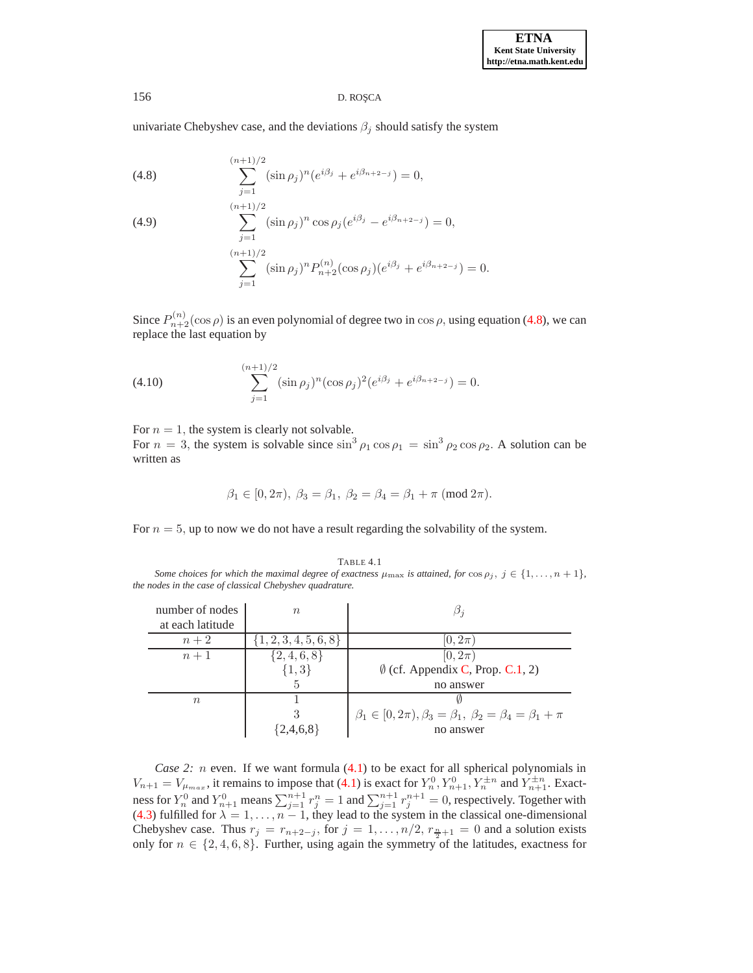univariate Chebyshev case, and the deviations  $\beta_j$  should satisfy the system

<span id="page-8-1"></span>(4.8) 
$$
\sum_{j=1}^{(n+1)/2} (\sin \rho_j)^n (e^{i\beta_j} + e^{i\beta_{n+2-j}}) = 0,
$$

(4.9)  
\n
$$
\sum_{j=1}^{(n+1)/2} (\sin \rho_j)^n \cos \rho_j (e^{i\beta_j} - e^{i\beta_{n+2-j}}) = 0,
$$
\n
$$
\sum_{j=1}^{(n+1)/2} (\sin \rho_j)^n P_{n+2}^{(n)} (\cos \rho_j) (e^{i\beta_j} + e^{i\beta_{n+2-j}}) = 0.
$$

Since  $P_{n+2}^{(n)}(\cos \rho)$  is an even polynomial of degree two in  $\cos \rho$ , using equation [\(4.8\)](#page-8-1), we can replace the last equation by

(4.10) 
$$
\sum_{j=1}^{(n+1)/2} (\sin \rho_j)^n (\cos \rho_j)^2 (e^{i\beta_j} + e^{i\beta_{n+2-j}}) = 0.
$$

For  $n = 1$ , the system is clearly not solvable.

For  $n = 3$ , the system is solvable since  $\sin^3 \rho_1 \cos \rho_1 = \sin^3 \rho_2 \cos \rho_2$ . A solution can be written as

$$
\beta_1 \in [0, 2\pi), \ \beta_3 = \beta_1, \ \beta_2 = \beta_4 = \beta_1 + \pi \ (\text{mod } 2\pi).
$$

For  $n = 5$ , up to now we do not have a result regarding the solvability of the system.

#### TABLE 4.1

<span id="page-8-0"></span>*Some choices for which the maximal degree of exactness*  $\mu_{\text{max}}$  *is attained, for*  $\cos \rho_j$ ,  $j \in \{1, ..., n + 1\}$ , *the nodes in the case of classical Chebyshev quadrature.*

| number of nodes  | $n_{\rm c}$               |                                                                                 |
|------------------|---------------------------|---------------------------------------------------------------------------------|
| at each latitude |                           |                                                                                 |
| $n+2$            | $\{1, 2, 3, 4, 5, 6, 8\}$ | $[0,2\pi]$                                                                      |
| $n+1$            | $\{2,4,6,8\}$             | $[0, 2\pi)$                                                                     |
|                  | $\{1,3\}$                 | $\emptyset$ (cf. Appendix C, Prop. C.1, 2)                                      |
|                  | 5.                        | no answer                                                                       |
| $n_{\rm}$        |                           |                                                                                 |
|                  | 3                         | $\beta_1 \in [0, 2\pi), \beta_3 = \beta_1, \ \beta_2 = \beta_4 = \beta_1 + \pi$ |
|                  | $\{2,4,6,8\}$             | no answer                                                                       |

*Case 2: n* even. If we want formula [\(4.1\)](#page-5-0) to be exact for all spherical polynomials in  $V_{n+1} = V_{\mu_{max}}$ , it remains to impose that [\(4.1\)](#page-5-0) is exact for  $Y_n^0, Y_{n+1}^0, Y_n^{\pm n}$  and  $Y_{n+1}^{\pm n}$ . Exactness for  $Y_n^0$  and  $Y_{n+1}^0$  means  $\sum_{j=1}^{n+1} r_j^n = 1$  and  $\sum_{j=1}^{n+1} r_j^{n+1} = 0$ , respectively. Together with [\(4.3\)](#page-6-0) fulfilled for  $\lambda = 1, \ldots, n - 1$ , they lead to the system in the classical one-dimensional Chebyshev case. Thus  $r_j = r_{n+2-j}$ , for  $j = 1, ..., n/2$ ,  $r_{\frac{n}{2}+1} = 0$  and a solution exists only for  $n \in \{2, 4, 6, 8\}$ . Further, using again the symmetry of the latitudes, exactness for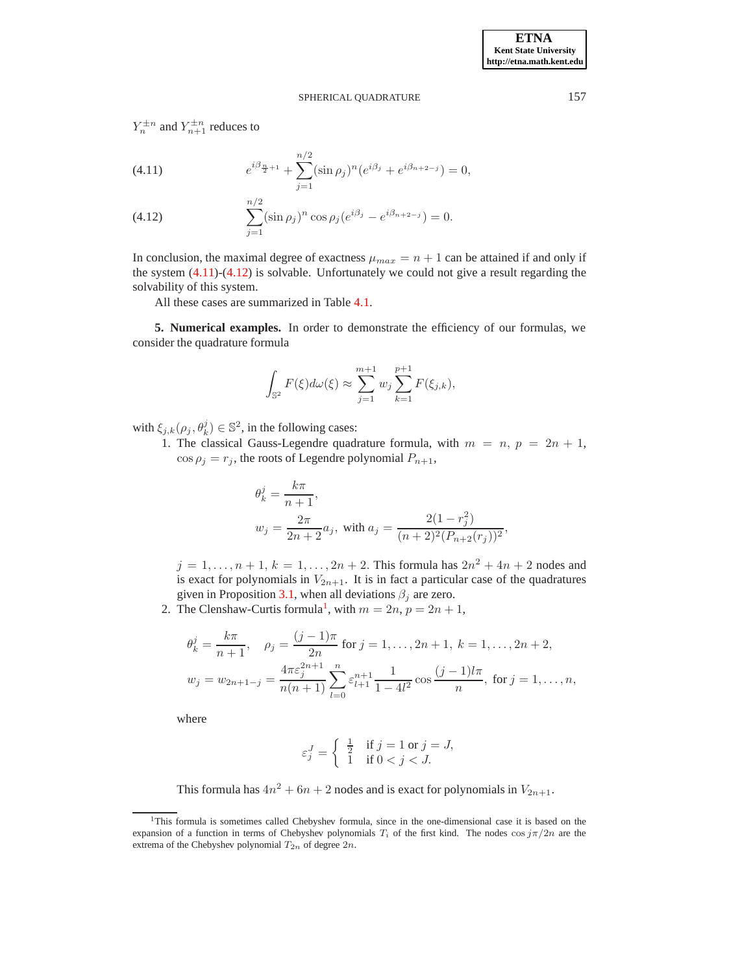## SPHERICAL QUADRATURE 157

 $Y_n^{\pm n}$  and  $Y_{n+1}^{\pm n}$  reduces to

<span id="page-9-0"></span>(4.11) 
$$
e^{i\beta_{\frac{n}{2}+1}} + \sum_{j=1}^{n/2} (\sin \rho_j)^n (e^{i\beta_j} + e^{i\beta_{n+2-j}}) = 0,
$$

(4.12) 
$$
\sum_{j=1}^{n/2} (\sin \rho_j)^n \cos \rho_j (e^{i\beta_j} - e^{i\beta_{n+2-j}}) = 0.
$$

In conclusion, the maximal degree of exactness  $\mu_{max} = n + 1$  can be attained if and only if the system  $(4.11)-(4.12)$  $(4.11)-(4.12)$  is solvable. Unfortunately we could not give a result regarding the solvability of this system.

All these cases are summarized in Table [4.1.](#page-8-0)

**5. Numerical examples.** In order to demonstrate the efficiency of our formulas, we consider the quadrature formula

$$
\int_{\mathbb{S}^2} F(\xi) d\omega(\xi) \approx \sum_{j=1}^{m+1} w_j \sum_{k=1}^{p+1} F(\xi_{j,k}),
$$

with  $\xi_{j,k}(\rho_j, \theta_k^j) \in \mathbb{S}^2$ , in the following cases:

1. The classical Gauss-Legendre quadrature formula, with  $m = n$ ,  $p = 2n + 1$ ,  $\cos \rho_j = r_j$ , the roots of Legendre polynomial  $P_{n+1}$ ,

$$
\theta_k^j = \frac{k\pi}{n+1},
$$
  

$$
w_j = \frac{2\pi}{2n+2}a_j
$$
, with  $a_j = \frac{2(1-r_j^2)}{(n+2)^2(P_{n+2}(r_j))^2}$ ,

 $j = 1, ..., n + 1, k = 1, ..., 2n + 2$ . This formula has  $2n^2 + 4n + 2$  nodes and is exact for polynomials in  $V_{2n+1}$ . It is in fact a particular case of the quadratures given in Proposition [3.1,](#page-3-3) when all deviations  $\beta_j$  are zero.

2. The Clenshaw-Curtis formula<sup>[1](#page-9-1)</sup>, with  $m = 2n$ ,  $p = 2n + 1$ ,

$$
\theta_k^j = \frac{k\pi}{n+1}, \quad \rho_j = \frac{(j-1)\pi}{2n} \text{ for } j = 1, \dots, 2n+1, \ k = 1, \dots, 2n+2,
$$
  

$$
w_j = w_{2n+1-j} = \frac{4\pi \varepsilon_j^{2n+1}}{n(n+1)} \sum_{l=0}^n \varepsilon_{l+1}^{n+1} \frac{1}{1-4l^2} \cos \frac{(j-1)l\pi}{n}, \text{ for } j = 1, \dots, n,
$$

where

$$
\varepsilon_j^J = \begin{cases} \frac{1}{2} & \text{if } j = 1 \text{ or } j = J, \\ 1 & \text{if } 0 < j < J. \end{cases}
$$

This formula has  $4n^2 + 6n + 2$  nodes and is exact for polynomials in  $V_{2n+1}$ .

<span id="page-9-1"></span><sup>&</sup>lt;sup>1</sup>This formula is sometimes called Chebyshev formula, since in the one-dimensional case it is based on the expansion of a function in terms of Chebyshev polynomials  $T_i$  of the first kind. The nodes cos  $j\pi/2n$  are the extrema of the Chebyshev polynomial  $T_{2n}$  of degree  $2n$ .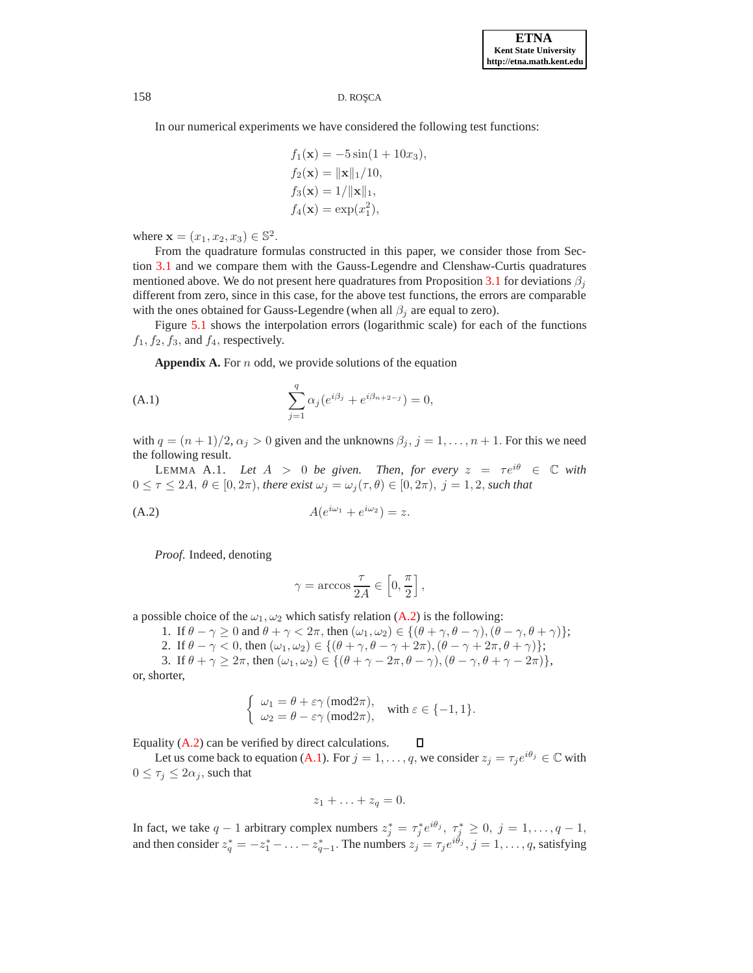In our numerical experiments we have considered the following test functions:

$$
f_1(\mathbf{x}) = -5\sin(1+10x_3),
$$
  
\n
$$
f_2(\mathbf{x}) = ||\mathbf{x}||_1/10,
$$
  
\n
$$
f_3(\mathbf{x}) = 1/||\mathbf{x}||_1,
$$
  
\n
$$
f_4(\mathbf{x}) = \exp(x_1^2),
$$

where  $\mathbf{x} = (x_1, x_2, x_3) \in \mathbb{S}^2$ .

From the quadrature formulas constructed in this paper, we consider those from Section [3.1](#page-3-4) and we compare them with the Gauss-Legendre and Clenshaw-Curtis quadratures mentioned above. We do not present here quadratures from Proposition [3.1](#page-3-3) for deviations  $\beta_i$ different from zero, since in this case, for the above test functions, the errors are comparable with the ones obtained for Gauss-Legendre (when all  $\beta_i$  are equal to zero).

Figure [5.1](#page-11-0) shows the interpolation errors (logarithmic scale) for each of the functions  $f_1, f_2, f_3$ , and  $f_4$ , respectively.

<span id="page-10-2"></span><span id="page-10-0"></span>Appendix A. For *n* odd, we provide solutions of the equation

(A.1) 
$$
\sum_{j=1}^{q} \alpha_j (e^{i\beta_j} + e^{i\beta_{n+2-j}}) = 0,
$$

<span id="page-10-3"></span>with  $q = (n + 1)/2$ ,  $\alpha_i > 0$  given and the unknowns  $\beta_i$ ,  $j = 1, \ldots, n + 1$ . For this we need the following result.

LEMMA A.1. Let  $A > 0$  be given. Then, for every  $z = \tau e^{i\theta} \in \mathbb{C}$  with  $0 \leq \tau \leq 2A, \ \theta \in [0, 2\pi),$  there exist  $\omega_j = \omega_j(\tau, \theta) \in [0, 2\pi), \ j = 1, 2$ , such that

(A.2) 
$$
A(e^{i\omega_1} + e^{i\omega_2}) = z.
$$

<span id="page-10-1"></span>*Proof*. Indeed, denoting

$$
\gamma = \arccos \frac{\tau}{2A} \in \left[0, \frac{\pi}{2}\right],
$$

a possible choice of the  $\omega_1, \omega_2$  which satisfy relation [\(A.2\)](#page-10-1) is the following:

- 1. If  $\theta \gamma \ge 0$  and  $\theta + \gamma < 2\pi$ , then  $(\omega_1, \omega_2) \in \{(\theta + \gamma, \theta \gamma), (\theta \gamma, \theta + \gamma)\};$
- 2. If  $\theta \gamma < 0$ , then  $(\omega_1, \omega_2) \in \{(\theta + \gamma, \theta \gamma + 2\pi), (\theta \gamma + 2\pi, \theta + \gamma)\};$
- 3. If  $\theta + \gamma \geq 2\pi$ , then  $(\omega_1, \omega_2) \in \{(\theta + \gamma 2\pi, \theta \gamma),(\theta \gamma, \theta + \gamma 2\pi)\},\$

or, shorter,

$$
\begin{cases} \omega_1 = \theta + \varepsilon \gamma \ (\text{mod} 2\pi), \\ \omega_2 = \theta - \varepsilon \gamma \ (\text{mod} 2\pi), \end{cases} \text{ with } \varepsilon \in \{-1, 1\}.
$$

Equality [\(A.2\)](#page-10-1) can be verified by direct calculations.  $\Box$ 

Let us come back to equation [\(A.1\)](#page-10-2). For  $j = 1, \ldots, q$ , we consider  $z_j = \tau_j e^{i\theta_j} \in \mathbb{C}$  with  $0 \leq \tau_j \leq 2\alpha_j$ , such that

$$
z_1+\ldots+z_q=0.
$$

In fact, we take  $q-1$  arbitrary complex numbers  $z_j^* = \tau_j^* e^{i\theta_j}$ ,  $\tau_j^* \geq 0$ ,  $j = 1, \ldots, q-1$ , and then consider  $z_q^* = -z_1^* - \ldots - z_{q-1}^*$ . The numbers  $z_j = \tau_j e^{i\theta_j}$ ,  $j = 1, \ldots, q$ , satisfying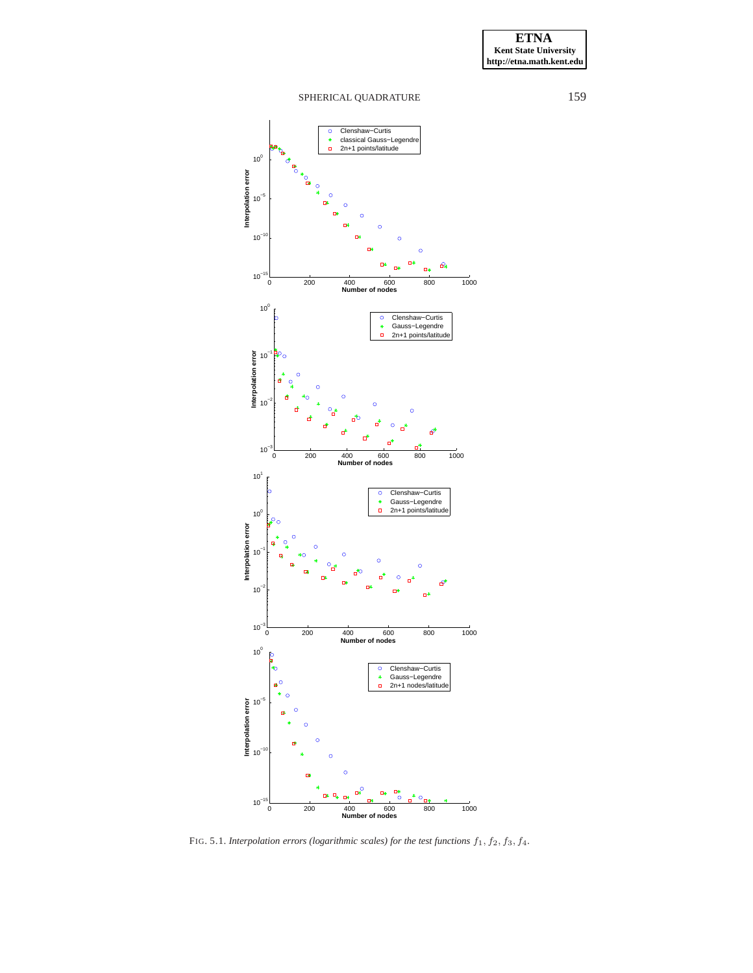**ETNA Kent State University http://etna.math.kent.edu**

# SPHERICAL QUADRATURE 159



<span id="page-11-0"></span>FIG. 5.1. *Interpolation errors (logarithmic scales) for the test functions*  $f_1$ ,  $f_2$ ,  $f_3$ ,  $f_4$ .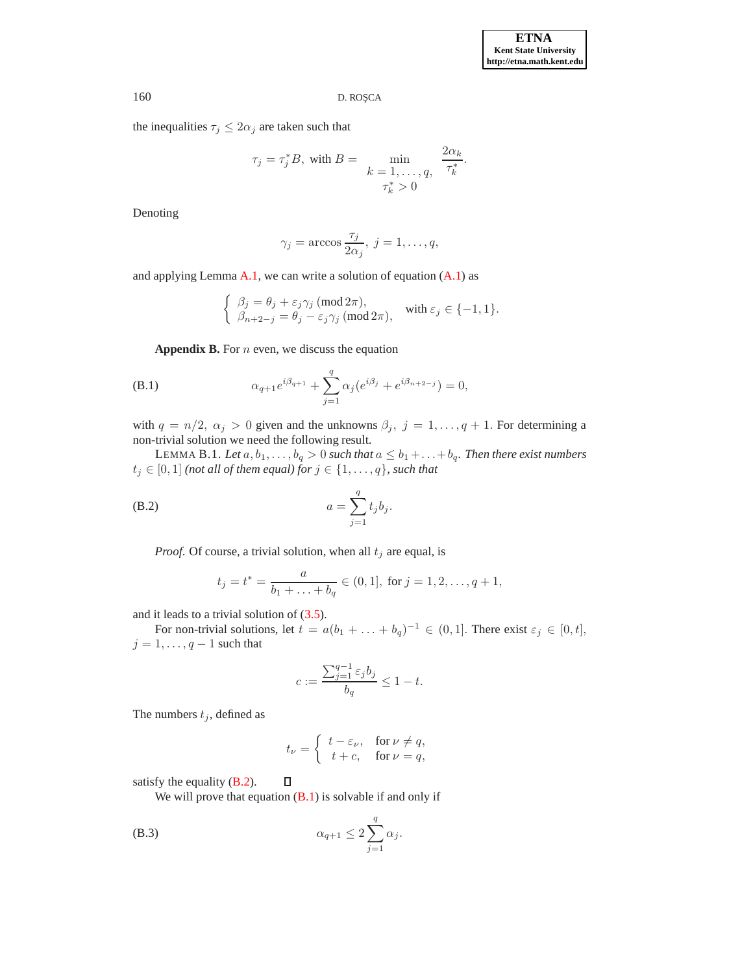the inequalities  $\tau_j \leq 2\alpha_j$  are taken such that

$$
\tau_j = \tau_j^* B, \text{ with } B = \min_{\begin{array}{c} k = 1, \dots, q, \\ \tau_k^* > 0 \end{array}} \frac{2\alpha_k}{\tau_k^*}.
$$

Denoting

$$
\gamma_j = \arccos \frac{\tau_j}{2\alpha_j}, \ j = 1, \dots, q,
$$

and applying Lemma  $A.1$ , we can write a solution of equation  $(A.1)$  as

<span id="page-12-4"></span>
$$
\begin{cases} \n\beta_j = \theta_j + \varepsilon_j \gamma_j \ (\text{mod } 2\pi), \\ \n\beta_{n+2-j} = \theta_j - \varepsilon_j \gamma_j \ (\text{mod } 2\pi), \n\end{cases} \text{ with } \varepsilon_j \in \{-1, 1\}.
$$

**Appendix B.** For n even, we discuss the equation

<span id="page-12-3"></span><span id="page-12-0"></span>(B.1) 
$$
\alpha_{q+1}e^{i\beta_{q+1}} + \sum_{j=1}^q \alpha_j(e^{i\beta_j} + e^{i\beta_{n+2-j}}) = 0,
$$

with  $q = n/2$ ,  $\alpha_j > 0$  given and the unknowns  $\beta_j$ ,  $j = 1, ..., q + 1$ . For determining a non-trivial solution we need the following result.

LEMMA B.1. *Let*  $a, b_1, \ldots, b_q > 0$  *such that*  $a \leq b_1 + \ldots + b_q$ *. Then there exist numbers*  $t_j \in [0,1]$  *(not all of them equal) for*  $j \in \{1,\ldots,q\}$ *, such that* 

(B.2) 
$$
a = \sum_{j=1}^{q} t_j b_j.
$$

*Proof.* Of course, a trivial solution, when all  $t_j$  are equal, is

<span id="page-12-2"></span>
$$
t_j = t^* = \frac{a}{b_1 + \ldots + b_q} \in (0, 1], \text{ for } j = 1, 2, \ldots, q + 1,
$$

and it leads to a trivial solution of [\(3.5\)](#page-3-2).

For non-trivial solutions, let  $t = a(b_1 + \ldots + b_q)^{-1} \in (0,1]$ . There exist  $\varepsilon_j \in [0,t]$ ,  $j = 1, \ldots, q - 1$  such that

$$
c:=\frac{\sum_{j=1}^{q-1}\varepsilon_jb_j}{b_q}\leq 1-t.
$$

The numbers  $t_j$ , defined as

$$
t_{\nu} = \begin{cases} t - \varepsilon_{\nu}, & \text{for } \nu \neq q, \\ t + c, & \text{for } \nu = q, \end{cases}
$$

satisfy the equality [\(B.2\)](#page-12-2).

We will prove that equation  $(B.1)$  is solvable if and only if

<span id="page-12-1"></span> $\Box$ 

$$
\alpha_{q+1} \le 2 \sum_{j=1}^q \alpha_j.
$$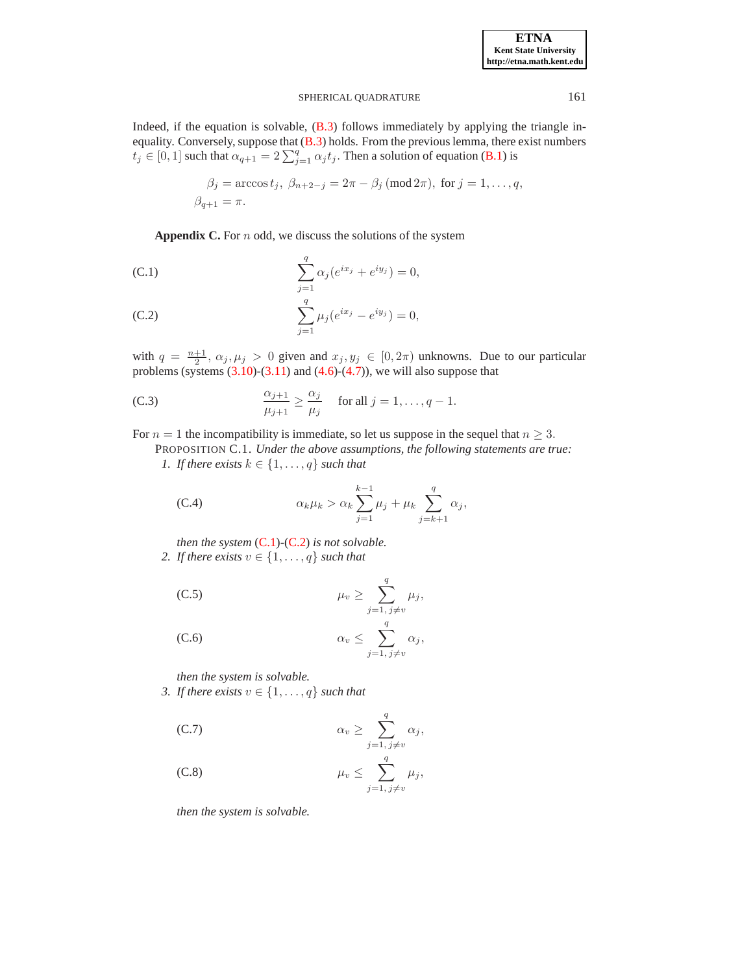# SPHERICAL OUADRATURE 161

Indeed, if the equation is solvable,  $(B.3)$  follows immediately by applying the triangle in-equality. Conversely, suppose that [\(B.3\)](#page-12-1) holds. From the previous lemma, there exist numbers  $t_j \in [0, 1]$  such that  $\alpha_{q+1} = 2 \sum_{j=1}^q \alpha_j t_j$ . Then a solution of equation [\(B.1\)](#page-12-3) is

$$
\beta_j = \arccos t_j, \ \beta_{n+2-j} = 2\pi - \beta_j \ (\text{mod } 2\pi), \text{ for } j = 1, \dots, q,
$$
  

$$
\beta_{q+1} = \pi.
$$

<span id="page-13-5"></span>**Appendix C.** For n odd, we discuss the solutions of the system

<span id="page-13-0"></span>(C.1) 
$$
\sum_{j=1}^{q} \alpha_j (e^{ix_j} + e^{iy_j}) = 0,
$$

(C.2) 
$$
\sum_{j=1}^{q} \mu_j(e^{ix_j} - e^{iy_j}) = 0,
$$

with  $q = \frac{n+1}{2}$ ,  $\alpha_j, \mu_j > 0$  given and  $x_j, y_j \in [0, 2\pi)$  unknowns. Due to our particular problems (systems  $(3.10)-(3.11)$  $(3.10)-(3.11)$  and  $(4.6)-(4.7)$  $(4.6)-(4.7)$ ), we will also suppose that

<span id="page-13-6"></span>(C.3) 
$$
\frac{\alpha_{j+1}}{\mu_{j+1}} \ge \frac{\alpha_j}{\mu_j} \quad \text{for all } j = 1, \dots, q-1.
$$

For  $n = 1$  the incompatibility is immediate, so let us suppose in the sequel that  $n \geq 3$ .

PROPOSITION C.1. *Under the above assumptions, the following statements are true:*

*1. If there exists*  $k \in \{1, \ldots, q\}$  *such that* 

<span id="page-13-2"></span><span id="page-13-1"></span>(C.4) 
$$
\alpha_k \mu_k > \alpha_k \sum_{j=1}^{k-1} \mu_j + \mu_k \sum_{j=k+1}^q \alpha_j,
$$

*then the system* [\(C.1\)](#page-13-5)*-*[\(C.2\)](#page-13-5) *is not solvable.*

*2. If there exists*  $v \in \{1, \ldots, q\}$  *such that* 

<span id="page-13-4"></span>(C.5) 
$$
\mu_v \geq \sum_{j=1, j\neq v}^q \mu_j,
$$

(C.6) 
$$
\alpha_v \leq \sum_{j=1, j\neq v}^q \alpha_j,
$$

*then the system is solvable.*

*3. If there exists*  $v \in \{1, \ldots, q\}$  *such that* 

<span id="page-13-3"></span>(C.7) 
$$
\alpha_v \geq \sum_{j=1, j\neq v}^{q} \alpha_j,
$$

(C.8) 
$$
\mu_v \leq \sum_{j=1, j\neq v}^q \mu_j,
$$

*then the system is solvable.*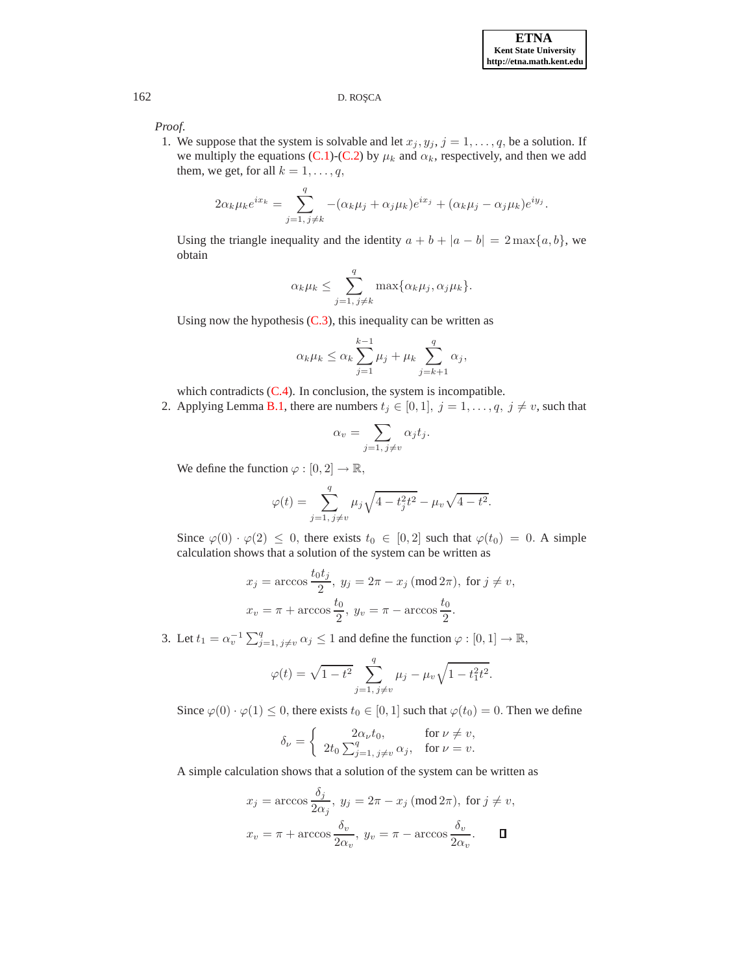*Proof*.

1. We suppose that the system is solvable and let  $x_j, y_j, j = 1, \ldots, q$ , be a solution. If we multiply the equations [\(C.1\)](#page-13-5)-[\(C.2\)](#page-13-5) by  $\mu_k$  and  $\alpha_k$ , respectively, and then we add them, we get, for all  $k = 1, \ldots, q$ ,

$$
2\alpha_k \mu_k e^{ix_k} = \sum_{j=1, j\neq k}^q - (\alpha_k \mu_j + \alpha_j \mu_k)e^{ix_j} + (\alpha_k \mu_j - \alpha_j \mu_k)e^{iy_j}.
$$

Using the triangle inequality and the identity  $a + b + |a - b| = 2 \max\{a, b\}$ , we obtain

$$
\alpha_k \mu_k \leq \sum_{j=1, j\neq k}^q \max\{\alpha_k \mu_j, \alpha_j \mu_k\}.
$$

Using now the hypothesis  $(C.3)$ , this inequality can be written as

$$
\alpha_k \mu_k \le \alpha_k \sum_{j=1}^{k-1} \mu_j + \mu_k \sum_{j=k+1}^q \alpha_j,
$$

which contradicts  $(C.4)$ . In conclusion, the system is incompatible.

2. Applying Lemma [B.1,](#page-12-4) there are numbers  $t_j \in [0,1], j = 1, \ldots, q, j \neq v$ , such that

$$
\alpha_v = \sum_{j=1, j \neq v} \alpha_j t_j.
$$

We define the function  $\varphi : [0, 2] \to \mathbb{R}$ ,

$$
\varphi(t) = \sum_{j=1, j \neq v}^{q} \mu_j \sqrt{4 - t_j^2 t^2} - \mu_v \sqrt{4 - t^2}.
$$

Since  $\varphi(0) \cdot \varphi(2) \leq 0$ , there exists  $t_0 \in [0,2]$  such that  $\varphi(t_0) = 0$ . A simple calculation shows that a solution of the system can be written as

$$
x_j = \arccos \frac{t_0 t_j}{2}, y_j = 2\pi - x_j \text{ (mod } 2\pi), \text{ for } j \neq v,
$$
  

$$
x_v = \pi + \arccos \frac{t_0}{2}, y_v = \pi - \arccos \frac{t_0}{2}.
$$

3. Let  $t_1 = \alpha_v^{-1} \sum_{j=1, j \neq v}^q \alpha_j \leq 1$  and define the function  $\varphi : [0, 1] \to \mathbb{R}$ ,

$$
\varphi(t) = \sqrt{1 - t^2} \sum_{j=1, j \neq v}^{q} \mu_j - \mu_v \sqrt{1 - t_1^2 t^2}.
$$

Since  $\varphi(0) \cdot \varphi(1) \leq 0$ , there exists  $t_0 \in [0, 1]$  such that  $\varphi(t_0) = 0$ . Then we define

$$
\delta_{\nu} = \begin{cases}\n2\alpha_{\nu}t_0, & \text{for } \nu \neq v, \\
2t_0 \sum_{j=1, j \neq v}^q \alpha_j, & \text{for } \nu = v.\n\end{cases}
$$

A simple calculation shows that a solution of the system can be written as

$$
x_j = \arccos \frac{\delta_j}{2\alpha_j}, y_j = 2\pi - x_j \text{ (mod } 2\pi), \text{ for } j \neq v,
$$
  

$$
x_v = \pi + \arccos \frac{\delta_v}{2\alpha_v}, y_v = \pi - \arccos \frac{\delta_v}{2\alpha_v}.
$$